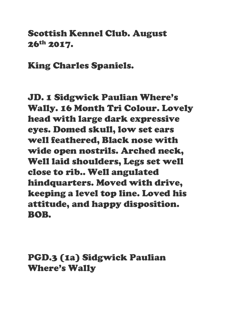#### Scottish Kennel Club. August 26th 2017.

King Charles Spaniels.

JD. 1 Sidgwick Paulian Where's Wally. 16 Month Tri Colour. Lovely head with large dark expressive eyes. Domed skull, low set ears well feathered, Black nose with wide open nostrils. Arched neck, Well laid shoulders, Legs set well close to rib.. Well angulated hindquarters. Moved with drive, keeping a level top line. Loved his attitude, and happy disposition. BOB.

PGD.3 (1a) Sidgwick Paulian Where's Wally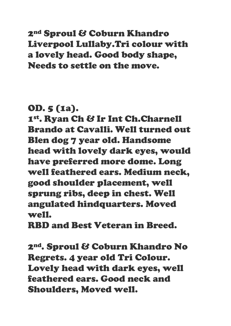# 2nd Sproul & Coburn Khandro Liverpool Lullaby.Tri colour with a lovely head. Good body shape, Needs to settle on the move.

# OD. 5 (1a).

1st. Ryan Ch & Ir Int Ch.Charnell Brando at Cavalli. Well turned out Blen dog 7 year old. Handsome head with lovely dark eyes, would have preferred more dome. Long well feathered ears. Medium neck, good shoulder placement, well sprung ribs, deep in chest. Well angulated hindquarters. Moved well.

RBD and Best Veteran in Breed.

2nd. Sproul & Coburn Khandro No Regrets. 4 year old Tri Colour. Lovely head with dark eyes, well feathered ears. Good neck and Shoulders, Moved well.